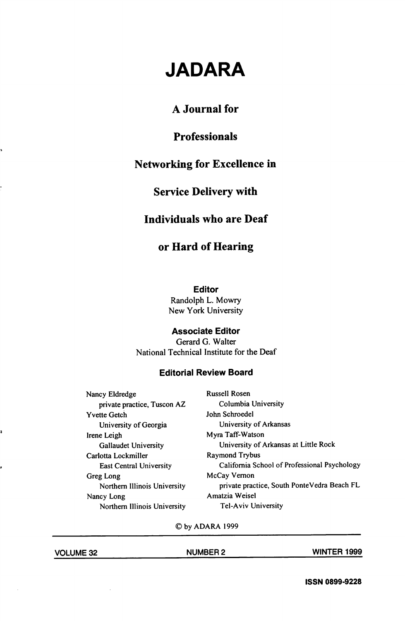# JADARA

# A Journal for

## Professionals

# Networking for Excellence in

## Service Delivery with

## Individuals who are Deaf

## or Hard of Hearing

Editor

Randolph L. Mowry New York University

#### Associate Editor

Gerard G. Walter National Technical Institute for the Deaf

#### Editorial Review Board

Nancy Eldredge Russell Rosen private practice, Tuscon AZ Columbia University Yvette Getch John Schroedel University of Georgia University of Arkansas Irene Leigh Myra Taff-Watson Carlotta Lockmiller Raymond Trybus Greg Long McCay Vernon Nancy Long **Amatzia Weisel** Northern Illinois University Tel-Aviv University

Gallaudet University University of Arkansas at Little Rock East Central University California School of Professional Psychology Northern Illinois University private practice, South PonteVedra Beach FL

©by ADARA 1999

VOLUME 32 NUMBER 2 WINTER 1999

,

ISSN 0899-9228